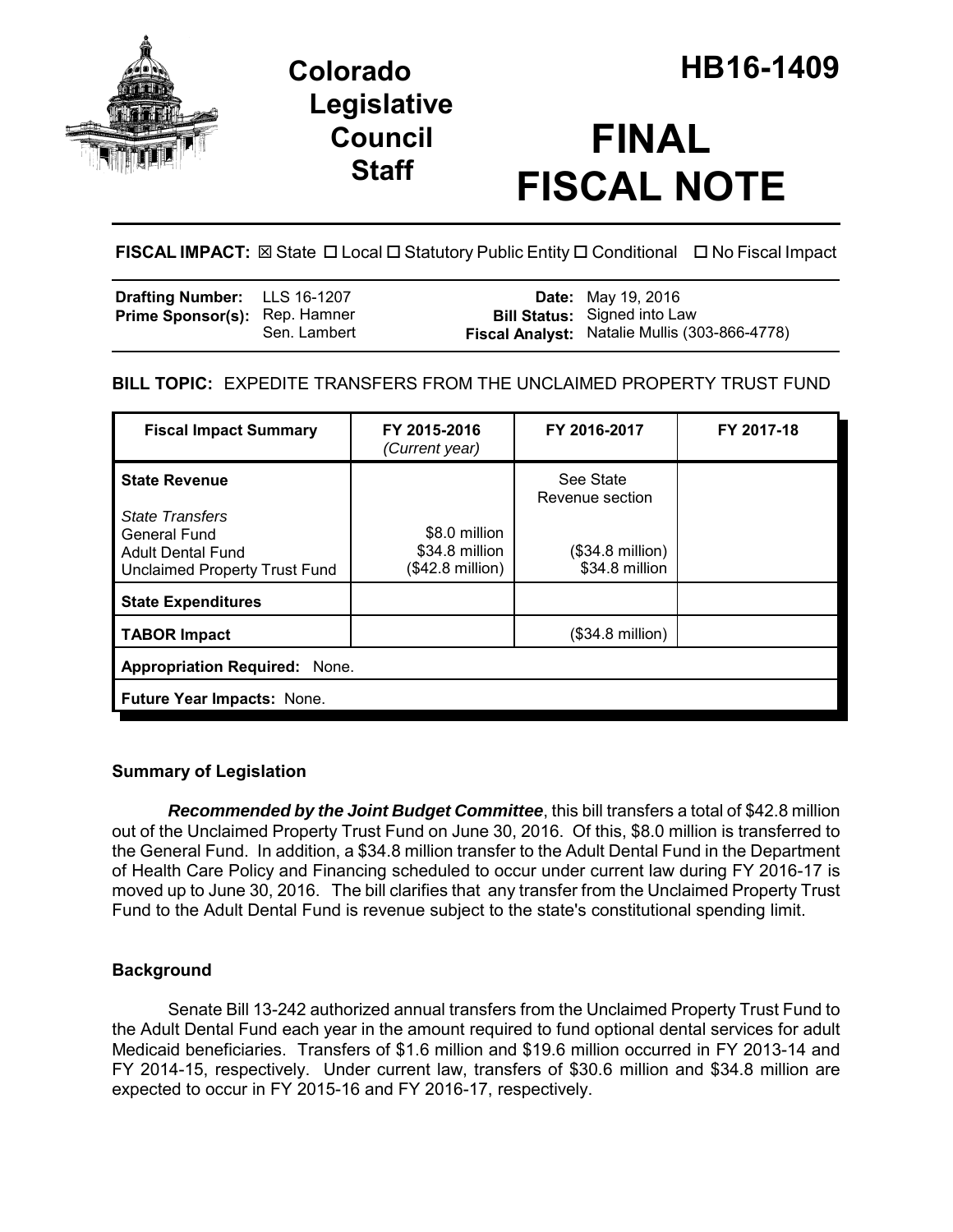

## **Legislative Council Staff**

# **FINAL FISCAL NOTE**

**FISCAL IMPACT:** ⊠ State □ Local □ Statutory Public Entity □ Conditional □ No Fiscal Impact

| <b>Drafting Number:</b> LLS 16-1207  |              | <b>Date:</b> May 19, 2016                                                            |
|--------------------------------------|--------------|--------------------------------------------------------------------------------------|
| <b>Prime Sponsor(s):</b> Rep. Hamner | Sen. Lambert | <b>Bill Status:</b> Signed into Law<br>Fiscal Analyst: Natalie Mullis (303-866-4778) |

## **BILL TOPIC:** EXPEDITE TRANSFERS FROM THE UNCLAIMED PROPERTY TRUST FUND

| <b>Fiscal Impact Summary</b>                                                                                                       | FY 2015-2016<br>(Current year)                      | FY 2016-2017                                                                | FY 2017-18 |  |  |
|------------------------------------------------------------------------------------------------------------------------------------|-----------------------------------------------------|-----------------------------------------------------------------------------|------------|--|--|
| <b>State Revenue</b><br><b>State Transfers</b><br><b>General Fund</b><br><b>Adult Dental Fund</b><br>Unclaimed Property Trust Fund | \$8.0 million<br>\$34.8 million<br>(\$42.8 million) | See State<br>Revenue section<br>$($34.8 \text{ million})$<br>\$34.8 million |            |  |  |
| <b>State Expenditures</b>                                                                                                          |                                                     |                                                                             |            |  |  |
| <b>TABOR Impact</b>                                                                                                                |                                                     | $($34.8 \text{ million})$                                                   |            |  |  |
| <b>Appropriation Required: None.</b>                                                                                               |                                                     |                                                                             |            |  |  |
| Future Year Impacts: None.                                                                                                         |                                                     |                                                                             |            |  |  |

## **Summary of Legislation**

*Recommended by the Joint Budget Committee*, this bill transfers a total of \$42.8 million out of the Unclaimed Property Trust Fund on June 30, 2016. Of this, \$8.0 million is transferred to the General Fund. In addition, a \$34.8 million transfer to the Adult Dental Fund in the Department of Health Care Policy and Financing scheduled to occur under current law during FY 2016-17 is moved up to June 30, 2016. The bill clarifies that any transfer from the Unclaimed Property Trust Fund to the Adult Dental Fund is revenue subject to the state's constitutional spending limit.

## **Background**

Senate Bill 13-242 authorized annual transfers from the Unclaimed Property Trust Fund to the Adult Dental Fund each year in the amount required to fund optional dental services for adult Medicaid beneficiaries. Transfers of \$1.6 million and \$19.6 million occurred in FY 2013-14 and FY 2014-15, respectively. Under current law, transfers of \$30.6 million and \$34.8 million are expected to occur in FY 2015-16 and FY 2016-17, respectively.